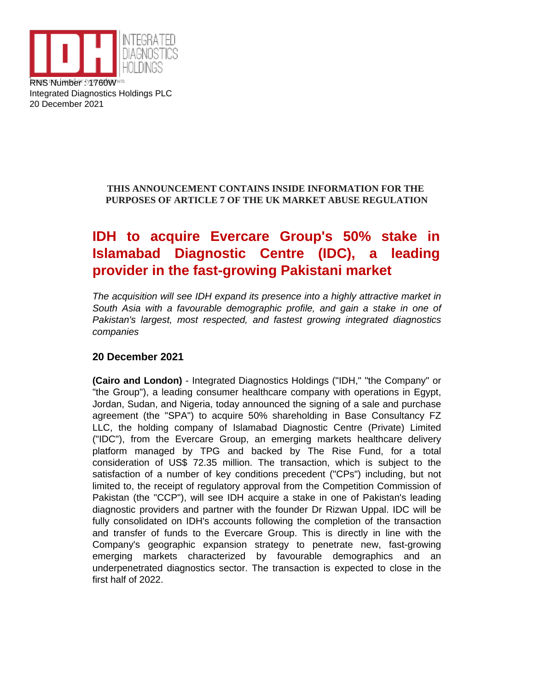

Integrated Diagnostics Holdings PLC 20 December 2021

## **THIS ANNOUNCEMENT CONTAINS INSIDE INFORMATION FOR THE PURPOSES OF ARTICLE 7 OF THE UK MARKET ABUSE REGULATION**

# **IDH to acquire Evercare Group's 50% stake in Islamabad Diagnostic Centre (IDC), a leading provider in the fast-growing Pakistani market**

The acquisition will see IDH expand its presence into a highly attractive market in South Asia with a favourable demographic profile, and gain a stake in one of Pakistan's largest, most respected, and fastest growing integrated diagnostics companies

## **20 December 2021**

**(Cairo and London)** - Integrated Diagnostics Holdings ("IDH," "the Company" or "the Group"), a leading consumer healthcare company with operations in Egypt, Jordan, Sudan, and Nigeria, today announced the signing of a sale and purchase agreement (the "SPA") to acquire 50% shareholding in Base Consultancy FZ LLC, the holding company of Islamabad Diagnostic Centre (Private) Limited ("IDC"), from the Evercare Group, an emerging markets healthcare delivery platform managed by TPG and backed by The Rise Fund, for a total consideration of US\$ 72.35 million. The transaction, which is subject to the satisfaction of a number of key conditions precedent ("CPs") including, but not limited to, the receipt of regulatory approval from the Competition Commission of Pakistan (the "CCP"), will see IDH acquire a stake in one of Pakistan's leading diagnostic providers and partner with the founder Dr Rizwan Uppal. IDC will be fully consolidated on IDH's accounts following the completion of the transaction and transfer of funds to the Evercare Group. This is directly in line with the Company's geographic expansion strategy to penetrate new, fast-growing emerging markets characterized by favourable demographics and an underpenetrated diagnostics sector. The transaction is expected to close in the first half of 2022.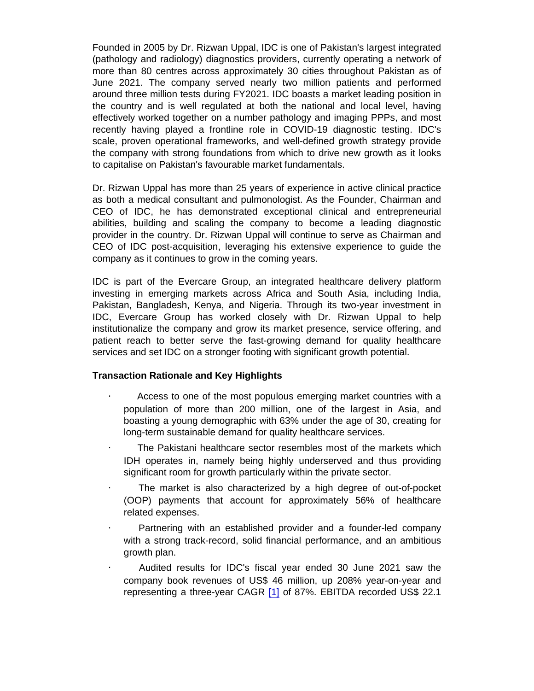Founded in 2005 by Dr. Rizwan Uppal, IDC is one of Pakistan's largest integrated (pathology and radiology) diagnostics providers, currently operating a network of more than 80 centres across approximately 30 cities throughout Pakistan as of June 2021. The company served nearly two million patients and performed around three million tests during FY2021. IDC boasts a market leading position in the country and is well regulated at both the national and local level, having effectively worked together on a number pathology and imaging PPPs, and most recently having played a frontline role in COVID-19 diagnostic testing. IDC's scale, proven operational frameworks, and well-defined growth strategy provide the company with strong foundations from which to drive new growth as it looks to capitalise on Pakistan's favourable market fundamentals.

Dr. Rizwan Uppal has more than 25 years of experience in active clinical practice as both a medical consultant and pulmonologist. As the Founder, Chairman and CEO of IDC, he has demonstrated exceptional clinical and entrepreneurial abilities, building and scaling the company to become a leading diagnostic provider in the country. Dr. Rizwan Uppal will continue to serve as Chairman and CEO of IDC post-acquisition, leveraging his extensive experience to guide the company as it continues to grow in the coming years.

IDC is part of the Evercare Group, an integrated healthcare delivery platform investing in emerging markets across Africa and South Asia, including India, Pakistan, Bangladesh, Kenya, and Nigeria. Through its two-year investment in IDC, Evercare Group has worked closely with Dr. Rizwan Uppal to help institutionalize the company and grow its market presence, service offering, and patient reach to better serve the fast-growing demand for quality healthcare services and set IDC on a stronger footing with significant growth potential.

Transaction Rationale and Key Highlights

- · Access to one of the most populous emerging market countries with a population of more than 200 million, one of the largest in Asia, and boasting a young demographic with 63% under the age of 30, creating for long-term sustainable demand for quality healthcare services.
- · The Pakistani healthcare sector resembles most of the markets which IDH operates in, namely being highly underserved and thus providing significant room for growth particularly within the private sector.
- The market is also characterized by a high degree of out-of-pocket (OOP) payments that account for approximately 56% of healthcare related expenses.
- Partnering with an established provider and a founder-led company with a strong track-record, solid financial performance, and an ambitious growth plan.
- · Audited results for IDC's fiscal year ended 30 June 2021 saw the company book revenues of US\$ 46 million, up 208% year-on-year and representing a three-year CAGR [1] of 87%. EBITDA recorded US\$ 22.1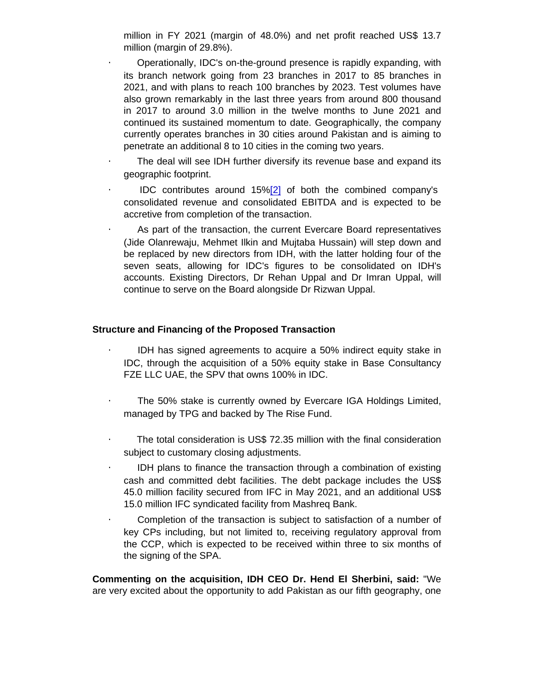million in FY 2021 (margin of 48.0%) and net profit reached US\$ 13.7 million (margin of 29.8%).

· Operationally, IDC's on-the-ground presence is rapidly expanding, with its branch network going from 23 branches in 2017 to 85 branches in 2021, and with plans to reach 100 branches by 2023. Test volumes have also grown remarkably in the last three years from around 800 thousand in 2017 to around 3.0 million in the twelve months to June 2021 and continued its sustained momentum to date. Geographically, the company currently operates branches in 30 cities around Pakistan and is aiming to penetrate an additional 8 to 10 cities in the coming two years.

- The deal will see IDH further diversify its revenue base and expand its geographic footprint.
- IDC contributes around 15%[2] of both the combined company's consolidated revenue and consolidated EBITDA and is expected to be accretive from completion of the transaction.

As part of the transaction, the current Evercare Board representatives (Jide Olanrewaju, Mehmet Ilkin and Mujtaba Hussain) will step down and be replaced by new directors from IDH, with the latter holding four of the seven seats, allowing for IDC's figures to be consolidated on IDH's accounts. Existing Directors, Dr Rehan Uppal and Dr Imran Uppal, will continue to serve on the Board alongside Dr Rizwan Uppal.

Structure and Financing of the Proposed Transaction

- IDH has signed agreements to acquire a 50% indirect equity stake in IDC, through the acquisition of a 50% equity stake in Base Consultancy FZE LLC UAE, the SPV that owns 100% in IDC.
- · The 50% stake is currently owned by Evercare IGA Holdings Limited, managed by TPG and backed by The Rise Fund.
- · The total consideration is US\$ 72.35 million with the final consideration subject to customary closing adjustments.
- · IDH plans to finance the transaction through a combination of existing cash and committed debt facilities. The debt package includes the US\$ 45.0 million facility secured from IFC in May 2021, and an additional US\$ 15.0 million IFC syndicated facility from Mashreq Bank.
- · Completion of the transaction is subject to satisfaction of a number of key CPs including, but not limited to, receiving regulatory approval from the CCP, which is expected to be received within three to six months of the signing of the SPA.

Commenting on the acquisition, IDH CEO Dr. Hend El Sherbini, said: "We are very excited about the opportunity to add Pakistan as our fifth geography, one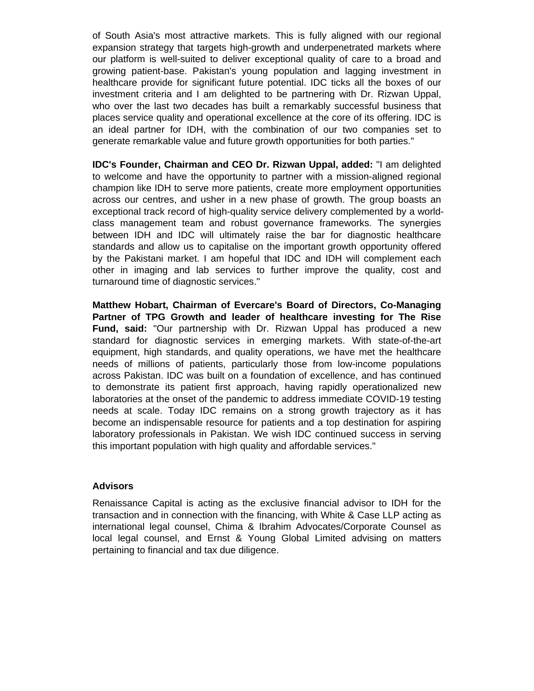of South Asia's most attractive markets. This is fully aligned with our regional expansion strategy that targets high-growth and underpenetrated markets where our platform is well-suited to deliver exceptional quality of care to a broad and growing patient-base. Pakistan's young population and lagging investment in healthcare provide for significant future potential. IDC ticks all the boxes of our investment criteria and I am delighted to be partnering with Dr. Rizwan Uppal, who over the last two decades has built a remarkably successful business that places service quality and operational excellence at the core of its offering. IDC is an ideal partner for IDH, with the combination of our two companies set to generate remarkable value and future growth opportunities for both parties."

**IDC's Founder, Chairman and CEO Dr. Rizwan Uppal, added:** "I am delighted to welcome and have the opportunity to partner with a mission-aligned regional champion like IDH to serve more patients, create more employment opportunities across our centres, and usher in a new phase of growth. The group boasts an exceptional track record of high-quality service delivery complemented by a worldclass management team and robust governance frameworks. The synergies between IDH and IDC will ultimately raise the bar for diagnostic healthcare standards and allow us to capitalise on the important growth opportunity offered by the Pakistani market. I am hopeful that IDC and IDH will complement each other in imaging and lab services to further improve the quality, cost and turnaround time of diagnostic services."

**Matthew Hobart, Chairman of Evercare's Board of Directors, Co-Managing Partner of TPG Growth and leader of healthcare investing for The Rise Fund, said:** "Our partnership with Dr. Rizwan Uppal has produced a new standard for diagnostic services in emerging markets. With state-of-the-art equipment, high standards, and quality operations, we have met the healthcare needs of millions of patients, particularly those from low-income populations across Pakistan. IDC was built on a foundation of excellence, and has continued to demonstrate its patient first approach, having rapidly operationalized new laboratories at the onset of the pandemic to address immediate COVID-19 testing needs at scale. Today IDC remains on a strong growth trajectory as it has become an indispensable resource for patients and a top destination for aspiring laboratory professionals in Pakistan. We wish IDC continued success in serving this important population with high quality and affordable services."

#### **Advisors**

Renaissance Capital is acting as the exclusive financial advisor to IDH for the transaction and in connection with the financing, with White & Case LLP acting as international legal counsel, Chima & Ibrahim Advocates/Corporate Counsel as local legal counsel, and Ernst & Young Global Limited advising on matters pertaining to financial and tax due diligence.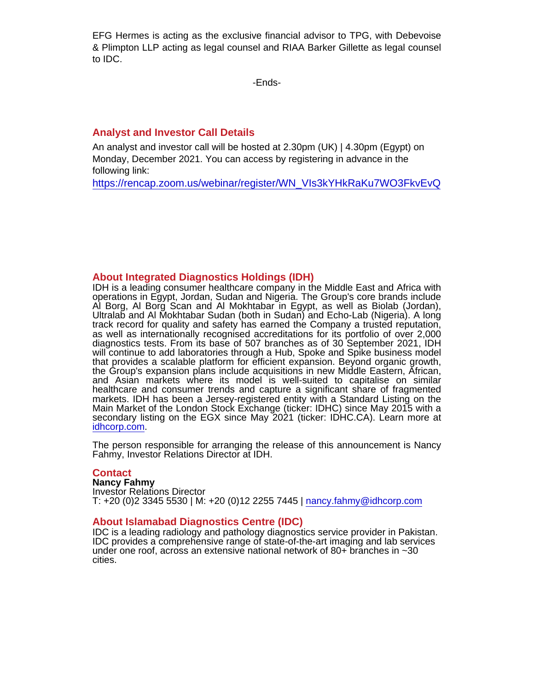EFG Hermes is acting as the exclusive financial advisor to TPG, with Debevoise & Plimpton LLP acting as legal counsel and RIAA Barker Gillette as legal counsel to IDC.

-Ends-

### Analyst and Investor Call Details

An analyst and investor call will be hosted at 2.30pm (UK) | 4.30pm (Egypt) on Monday, December 2021. You can access by registering in advance in the following link:

[https://rencap.zoom.us/webinar/register/WN\\_VIs3kYHkRaKu7WO3FkvEvQ](https://rencap.zoom.us/webinar/register/WN_VIs3kYHkRaKu7WO3FkvEvQ)

#### About Integrated Diagnostics Holdings (IDH)

IDH is a leading consumer healthcare company in the Middle East and Africa with operations in Egypt, Jordan, Sudan and Nigeria. The Group's core brands include Al Borg, Al Borg Scan and Al Mokhtabar in Egypt, as well as Biolab (Jordan), Ultralab and Al Mokhtabar Sudan (both in Sudan) and Echo-Lab (Nigeria). A long track record for quality and safety has earned the Company a trusted reputation, as well as internationally recognised accreditations for its portfolio of over 2,000 diagnostics tests. From its base of 507 branches as of 30 September 2021, IDH will continue to add laboratories through a Hub, Spoke and Spike business model that provides a scalable platform for efficient expansion. Beyond organic growth, the Group's expansion plans include acquisitions in new Middle Eastern, African, and Asian markets where its model is well-suited to capitalise on similar healthcare and consumer trends and capture a significant share of fragmented markets. IDH has been a Jersey-registered entity with a Standard Listing on the Main Market of the London Stock Exchange (ticker: IDHC) since May 2015 with a secondary listing on the EGX since May 2021 (ticker: IDHC.CA). Learn more at [idhcorp.com.](http://idhcorp.com)

The person responsible for arranging the release of this announcement is Nancy Fahmy, Investor Relations Director at IDH.

#### **Contact**

Nancy Fahmy Investor Relations Director T: +20 (0)2 3345 5530 | M: +20 (0)12 2255 7445 | [nancy.fahmy@idhcorp.com](mailto:nancy.fahmy@idhcorp.com)

#### About Islamabad Diagnostics Centre (IDC)

IDC is a leading radiology and pathology diagnostics service provider in Pakistan. IDC provides a comprehensive range of state-of-the-art imaging and lab services under one roof, across an extensive national network of 80+ branches in ~30 cities.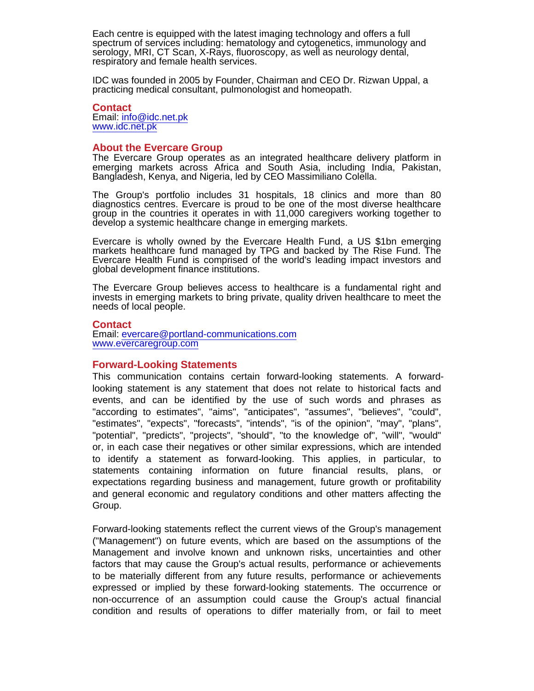Each centre is equipped with the latest imaging technology and offers a full spectrum of services including: hematology and cytogenetics, immunology and serology, MRI, CT Scan, X-Rays, fluoroscopy, as well as neurology dental, respiratory and female health services.

IDC was founded in 2005 by Founder, Chairman and CEO Dr. Rizwan Uppal, a practicing medical consultant, pulmonologist and homeopath.

#### **Contact** Email: [info@idc.net.pk](mailto:info@idc.net.pk) [www.idc.net.pk](http://www.idc.net.pk)

#### About the Evercare Group

The Evercare Group operates as an integrated healthcare delivery platform in emerging markets across Africa and South Asia, including India, Pakistan, Bangladesh, Kenya, and Nigeria, led by CEO Massimiliano Colella.

The Group's portfolio includes 31 hospitals, 18 clinics and more than 80 diagnostics centres. Evercare is proud to be one of the most diverse healthcare group in the countries it operates in with 11,000 caregivers working together to develop a systemic healthcare change in emerging markets.

Evercare is wholly owned by the Evercare Health Fund, a US \$1bn emerging markets healthcare fund managed by TPG and backed by The Rise Fund. The Evercare Health Fund is comprised of the world's leading impact investors and global development finance institutions.

The Evercare Group believes access to healthcare is a fundamental right and invests in emerging markets to bring private, quality driven healthcare to meet the needs of local people.

**Contact** Email: [evercare@portland-communications.com](mailto:evercare@portland-communications.com) [www.evercaregroup.com](https://evercaregroup.com/)

#### Forward-Looking Statements

This communication contains certain forward-looking statements. A forwardlooking statement is any statement that does not relate to historical facts and events, and can be identified by the use of such words and phrases as "according to estimates", "aims", "anticipates", "assumes", "believes", "could", "estimates", "expects", "forecasts", "intends", "is of the opinion", "may", "plans", "potential", "predicts", "projects", "should", "to the knowledge of", "will", "would" or, in each case their negatives or other similar expressions, which are intended to identify a statement as forward-looking. This applies, in particular, to statements containing information on future financial results, plans, or expectations regarding business and management, future growth or profitability and general economic and regulatory conditions and other matters affecting the Group.

Forward-looking statements reflect the current views of the Group's management ("Management") on future events, which are based on the assumptions of the Management and involve known and unknown risks, uncertainties and other factors that may cause the Group's actual results, performance or achievements to be materially different from any future results, performance or achievements expressed or implied by these forward-looking statements. The occurrence or non-occurrence of an assumption could cause the Group's actual financial condition and results of operations to differ materially from, or fail to meet